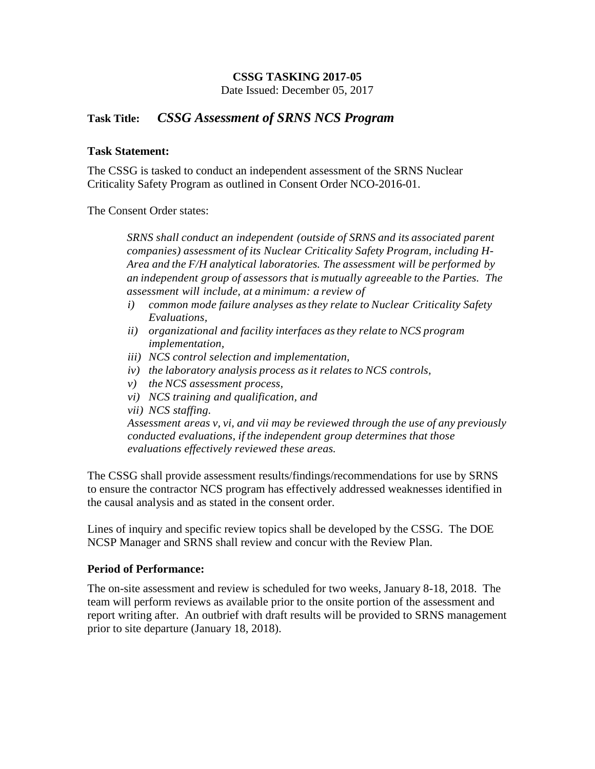# **CSSG TASKING 2017-05**

Date Issued: December 05, 2017

# **Task Title:** *CSSG Assessment of SRNS NCS Program*

### **Task Statement:**

The CSSG is tasked to conduct an independent assessment of the SRNS Nuclear Criticality Safety Program as outlined in Consent Order NCO-2016-01.

The Consent Order states:

*SRNS shall conduct an independent (outside of SRNS and its associated parent companies) assessment of its Nuclear Criticality Safety Program, including H-Area and the F/H analytical laboratories. The assessment will be performed by an independent group of assessors that is mutually agreeable to the Parties. The assessment will include, at a minimum: a review of*

- *i) common mode failure analyses asthey relate to Nuclear Criticality Safety Evaluations,*
- *ii) organizational and facility interfaces asthey relate to NCS program implementation,*
- *iii) NCS control selection and implementation,*
- *iv) the laboratory analysis process asit relates to NCS controls,*
- *v) the NCS assessment process,*
- *vi) NCS training and qualification, and*
- *vii) NCS staffing.*

*Assessment areas v, vi, and vii may be reviewed through the use of any previously conducted evaluations, if the independent group determines that those evaluations effectively reviewed these areas.*

The CSSG shall provide assessment results/findings/recommendations for use by SRNS to ensure the contractor NCS program has effectively addressed weaknesses identified in the causal analysis and as stated in the consent order.

Lines of inquiry and specific review topics shall be developed by the CSSG. The DOE NCSP Manager and SRNS shall review and concur with the Review Plan.

## **Period of Performance:**

The on-site assessment and review is scheduled for two weeks, January 8-18, 2018. The team will perform reviews as available prior to the onsite portion of the assessment and report writing after. An outbrief with draft results will be provided to SRNS management prior to site departure (January 18, 2018).